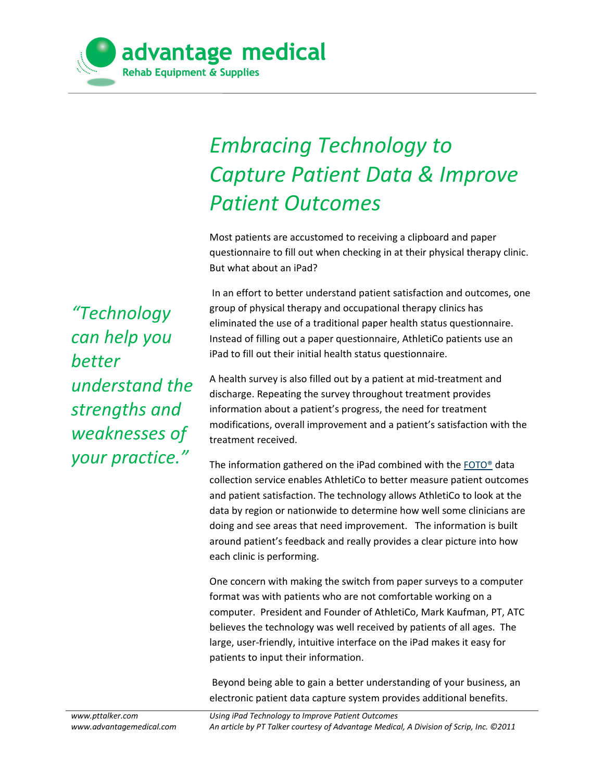

## *Embracing Technology to Capture Patient Data & Improve Patient Outcomes*

Most patients are accustomed to receiving a clipboard and paper questionnaire to fill out when checking in at their physical therapy clinic. But what about an iPad?

 In an effort to better understand patient satisfaction and outcomes, one group of physical therapy and occupational therapy clinics has eliminated the use of a traditional paper health status questionnaire. Instead of filling out a paper questionnaire, AthletiCo patients use an iPad to fill out their initial health status questionnaire.

A health survey is also filled out by a patient at mid-treatment and discharge. Repeating the survey throughout treatment provides information about a patient's progress, the need for treatment modifications, overall improvement and a patient's satisfaction with the treatment received.

The information gathered on the iPad combined with the [FOTO®](http://www.fotoinc.com/) data collection service enables AthletiCo to better measure patient outcomes and patient satisfaction. The technology allows AthletiCo to look at the data by region or nationwide to determine how well some clinicians are doing and see areas that need improvement. The information is built around patient's feedback and really provides a clear picture into how each clinic is performing.

One concern with making the switch from paper surveys to a computer format was with patients who are not comfortable working on a computer. President and Founder of AthletiCo, Mark Kaufman, PT, ATC believes the technology was well received by patients of all ages. The large, user-friendly, intuitive interface on the iPad makes it easy for patients to input their information.

 Beyond being able to gain a better understanding of your business, an electronic patient data capture system provides additional benefits.

*"Technology can help you better understand the strengths and weaknesses of your practice."*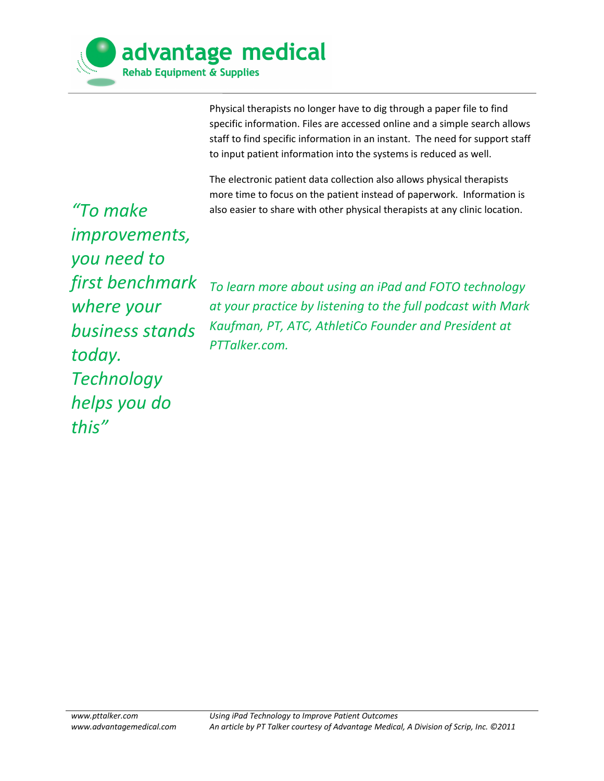

Physical therapists no longer have to dig through a paper file to find specific information. Files are accessed online and a simple search allows staff to find specific information in an instant. The need for support staff to input patient information into the systems is reduced as well.

The electronic patient data collection also allows physical therapists more time to focus on the patient instead of paperwork. Information is also easier to share with other physical therapists at any clinic location.

*"To make improvements, you need to first benchmark where your business stands today. Technology helps you do this"*

*To learn more about using an iPad and FOTO technology at your practice by listening to the full podcast with Mark Kaufman, PT, ATC, AthletiCo Founder and President at PTTalker.com.*